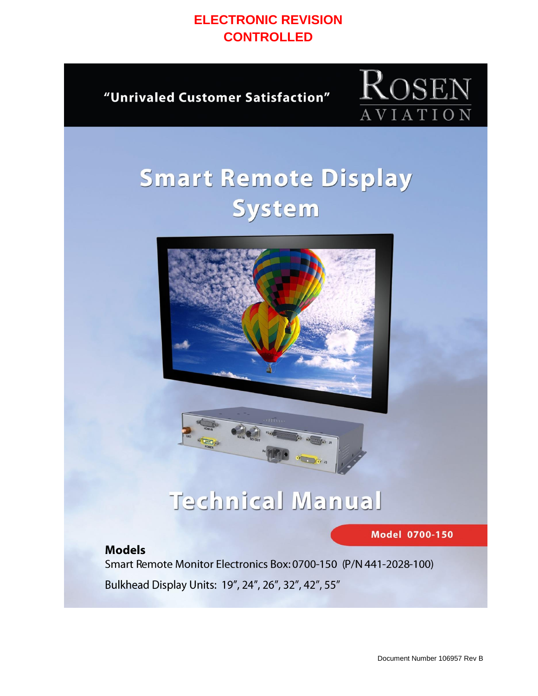### **ELECTRONIC REVISION CONTROLLED**

"Unrivaled Customer Satisfaction"



# **Smart Remote Display** System





**Model 0700-150** 

### **Models**

Smart Remote Monitor Electronics Box: 0700-150 (P/N 441-2028-100) Bulkhead Display Units: 19", 24", 26", 32", 42", 55"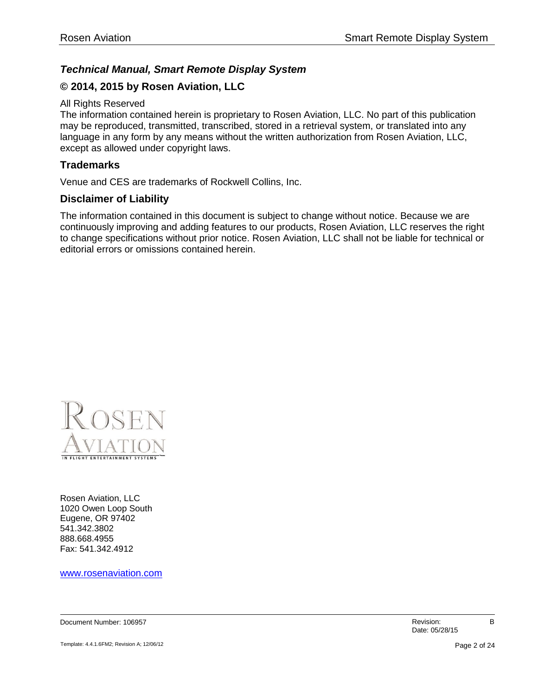#### *Technical Manual, Smart Remote Display System*

#### **© 2014, 2015 by Rosen Aviation, LLC**

#### All Rights Reserved

The information contained herein is proprietary to Rosen Aviation, LLC. No part of this publication may be reproduced, transmitted, transcribed, stored in a retrieval system, or translated into any language in any form by any means without the written authorization from Rosen Aviation, LLC, except as allowed under copyright laws.

#### **Trademarks**

Venue and CES are trademarks of Rockwell Collins, Inc.

#### **Disclaimer of Liability**

The information contained in this document is subject to change without notice. Because we are continuously improving and adding features to our products, Rosen Aviation, LLC reserves the right to change specifications without prior notice. Rosen Aviation, LLC shall not be liable for technical or editorial errors or omissions contained herein.



Rosen Aviation, LLC 1020 Owen Loop South Eugene, OR 97402 541.342.3802 888.668.4955 Fax: 541.342.4912

[www.rosenaviation.com](http://www.rosenaviation.com/)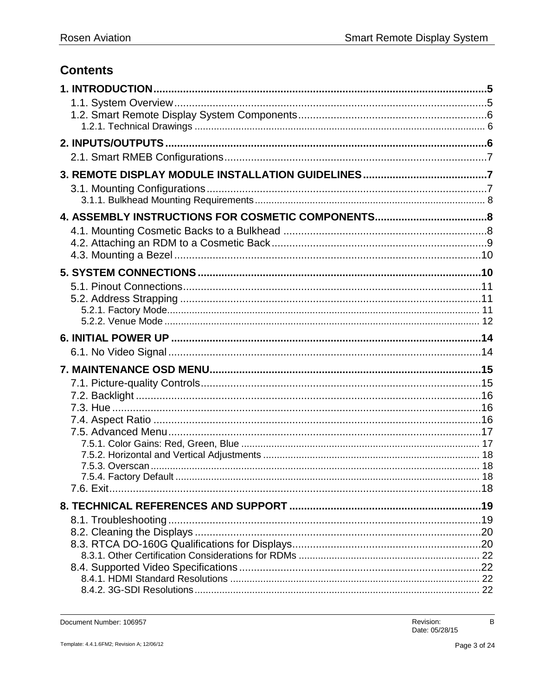### **Contents**

| 7.6. Exit. |  |
|------------|--|
|            |  |
|            |  |
|            |  |
|            |  |
|            |  |
|            |  |
|            |  |
|            |  |

Document Number: 106957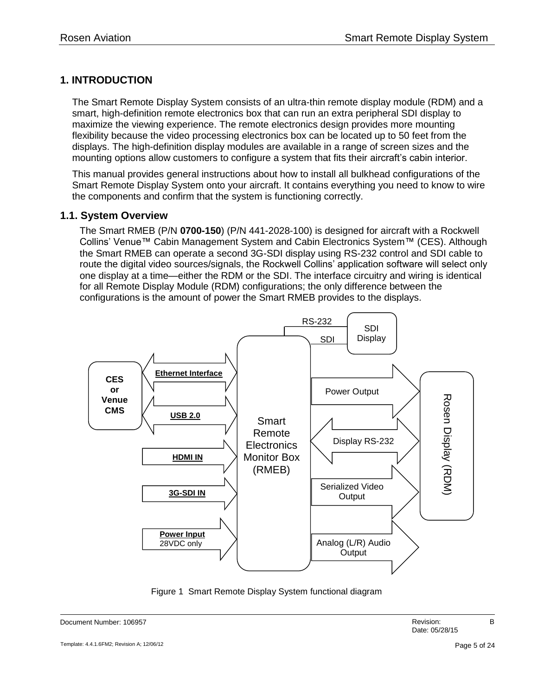#### <span id="page-4-0"></span>**1. INTRODUCTION**

The Smart Remote Display System consists of an ultra-thin remote display module (RDM) and a smart, high-definition remote electronics box that can run an extra peripheral SDI display to maximize the viewing experience. The remote electronics design provides more mounting flexibility because the video processing electronics box can be located up to 50 feet from the displays. The high-definition display modules are available in a range of screen sizes and the mounting options allow customers to configure a system that fits their aircraft's cabin interior.

This manual provides general instructions about how to install all bulkhead configurations of the Smart Remote Display System onto your aircraft. It contains everything you need to know to wire the components and confirm that the system is functioning correctly.

#### <span id="page-4-1"></span>**1.1. System Overview**

The Smart RMEB (P/N **0700-150**) (P/N 441-2028-100) is designed for aircraft with a Rockwell Collins' Venue™ Cabin Management System and Cabin Electronics System™ (CES). Although the Smart RMEB can operate a second 3G-SDI display using RS-232 control and SDI cable to route the digital video sources/signals, the Rockwell Collins' application software will select only one display at a time—either the RDM or the SDI. The interface circuitry and wiring is identical for all Remote Display Module (RDM) configurations; the only difference between the configurations is the amount of power the Smart RMEB provides to the displays.



Figure 1 Smart Remote Display System functional diagram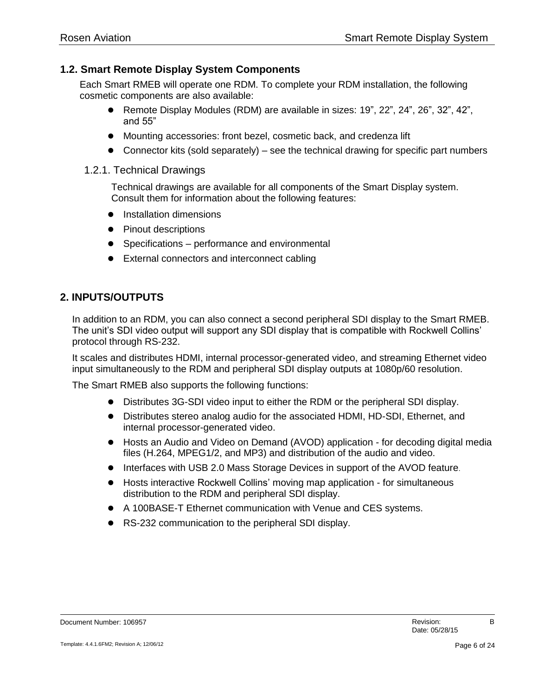#### <span id="page-5-0"></span>**1.2. Smart Remote Display System Components**

Each Smart RMEB will operate one RDM. To complete your RDM installation, the following cosmetic components are also available:

- Remote Display Modules (RDM) are available in sizes: 19", 22", 24", 26", 32", 42", and 55"
- Mounting accessories: front bezel, cosmetic back, and credenza lift
- Connector kits (sold separately) see the technical drawing for specific part numbers
- <span id="page-5-1"></span>1.2.1. Technical Drawings

Technical drawings are available for all components of the Smart Display system. Consult them for information about the following features:

- **•** Installation dimensions
- Pinout descriptions
- Specifications performance and environmental
- External connectors and interconnect cabling

#### <span id="page-5-2"></span>**2. INPUTS/OUTPUTS**

In addition to an RDM, you can also connect a second peripheral SDI display to the Smart RMEB. The unit's SDI video output will support any SDI display that is compatible with Rockwell Collins' protocol through RS-232.

It scales and distributes HDMI, internal processor-generated video, and streaming Ethernet video input simultaneously to the RDM and peripheral SDI display outputs at 1080p/60 resolution.

The Smart RMEB also supports the following functions:

- Distributes 3G-SDI video input to either the RDM or the peripheral SDI display.
- Distributes stereo analog audio for the associated HDMI, HD-SDI, Ethernet, and internal processor-generated video.
- Hosts an Audio and Video on Demand (AVOD) application for decoding digital media files (H.264, MPEG1/2, and MP3) and distribution of the audio and video.
- Interfaces with USB 2.0 Mass Storage Devices in support of the AVOD feature.
- Hosts interactive Rockwell Collins' moving map application for simultaneous distribution to the RDM and peripheral SDI display.
- A 100BASE-T Ethernet communication with Venue and CES systems.
- RS-232 communication to the peripheral SDI display.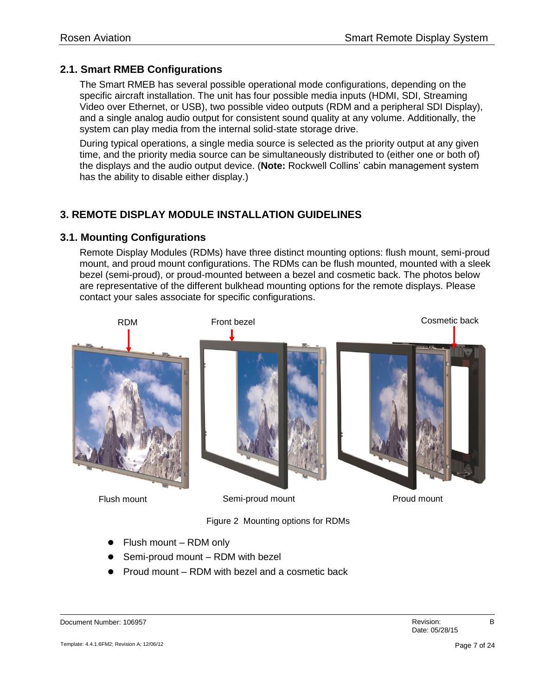#### <span id="page-6-0"></span>**2.1. Smart RMEB Configurations**

The Smart RMEB has several possible operational mode configurations, depending on the specific aircraft installation. The unit has four possible media inputs (HDMI, SDI, Streaming Video over Ethernet, or USB), two possible video outputs (RDM and a peripheral SDI Display), and a single analog audio output for consistent sound quality at any volume. Additionally, the system can play media from the internal solid-state storage drive.

During typical operations, a single media source is selected as the priority output at any given time, and the priority media source can be simultaneously distributed to (either one or both of) the displays and the audio output device. (**Note:** Rockwell Collins' cabin management system has the ability to disable either display.)

#### <span id="page-6-1"></span>**3. REMOTE DISPLAY MODULE INSTALLATION GUIDELINES**

#### <span id="page-6-2"></span>**3.1. Mounting Configurations**

Remote Display Modules (RDMs) have three distinct mounting options: flush mount, semi-proud mount, and proud mount configurations. The RDMs can be flush mounted, mounted with a sleek bezel (semi-proud), or proud-mounted between a bezel and cosmetic back. The photos below are representative of the different bulkhead mounting options for the remote displays. Please contact your sales associate for specific configurations.



Figure 2 Mounting options for RDMs

- Flush mount RDM only
- Semi-proud mount RDM with bezel
- Proud mount RDM with bezel and a cosmetic back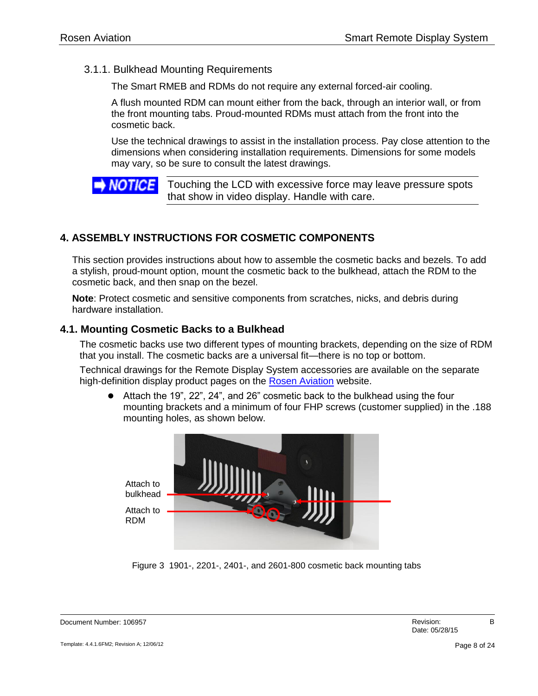#### <span id="page-7-0"></span>3.1.1. Bulkhead Mounting Requirements

The Smart RMEB and RDMs do not require any external forced-air cooling.

A flush mounted RDM can mount either from the back, through an interior wall, or from the front mounting tabs. Proud-mounted RDMs must attach from the front into the cosmetic back.

Use the technical drawings to assist in the installation process. Pay close attention to the dimensions when considering installation requirements. Dimensions for some models may vary, so be sure to consult the latest drawings.

**NOTICE** Touching the LCD with excessive force may leave pressure spots that show in video display. Handle with care.

#### <span id="page-7-1"></span>**4. ASSEMBLY INSTRUCTIONS FOR COSMETIC COMPONENTS**

This section provides instructions about how to assemble the cosmetic backs and bezels. To add a stylish, proud-mount option, mount the cosmetic back to the bulkhead, attach the RDM to the cosmetic back, and then snap on the bezel.

**Note**: Protect cosmetic and sensitive components from scratches, nicks, and debris during hardware installation.

#### <span id="page-7-2"></span>**4.1. Mounting Cosmetic Backs to a Bulkhead**

The cosmetic backs use two different types of mounting brackets, depending on the size of RDM that you install. The cosmetic backs are a universal fit—there is no top or bottom.

Technical drawings for the Remote Display System accessories are available on the separate high-definition display product pages on the [Rosen Aviation](http://www.rosenaviation.com/) website.

 Attach the 19", 22", 24", and 26" cosmetic back to the bulkhead using the four mounting brackets and a minimum of four FHP screws (customer supplied) in the .188 mounting holes, as shown below.



Figure 3 1901-, 2201-, 2401-, and 2601-800 cosmetic back mounting tabs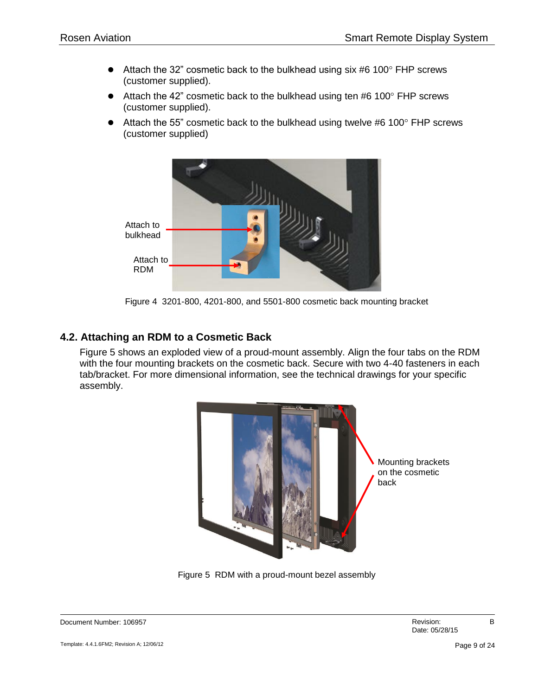- $\bullet$  Attach the 32" cosmetic back to the bulkhead using six #6 100 $\degree$  FHP screws (customer supplied).
- $\bullet$  Attach the 42" cosmetic back to the bulkhead using ten #6 100 $\degree$  FHP screws (customer supplied).
- Attach the 55" cosmetic back to the bulkhead using twelve #6 100 $^{\circ}$  FHP screws (customer supplied)



Figure 4 3201-800, 4201-800, and 5501-800 cosmetic back mounting bracket

#### <span id="page-8-0"></span>**4.2. Attaching an RDM to a Cosmetic Back**

[Figure 5](#page-8-1) shows an exploded view of a proud-mount assembly. Align the four tabs on the RDM with the four mounting brackets on the cosmetic back. Secure with two 4-40 fasteners in each tab/bracket. For more dimensional information, see the technical drawings for your specific assembly.

<span id="page-8-1"></span>

Figure 5 RDM with a proud-mount bezel assembly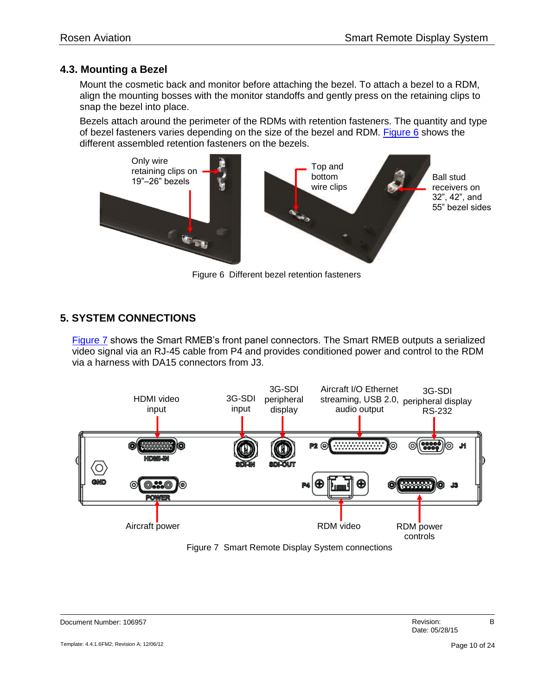#### <span id="page-9-0"></span>**4.3. Mounting a Bezel**

Mount the cosmetic back and monitor before attaching the bezel. To attach a bezel to a RDM, align the mounting bosses with the monitor standoffs and gently press on the retaining clips to snap the bezel into place.

Bezels attach around the perimeter of the RDMs with retention fasteners. The quantity and type of bezel fasteners varies depending on the size of the bezel and RDM. [Figure 6](#page-9-2) shows the different assembled retention fasteners on the bezels.



Figure 6 Different bezel retention fasteners

#### <span id="page-9-2"></span><span id="page-9-1"></span>**5. SYSTEM CONNECTIONS**

[Figure 7](#page-9-3) shows the Smart RMEB's front panel connectors. The Smart RMEB outputs a serialized video signal via an RJ-45 cable from P4 and provides conditioned power and control to the RDM via a harness with DA15 connectors from J3.



<span id="page-9-3"></span>Figure 7 Smart Remote Display System connections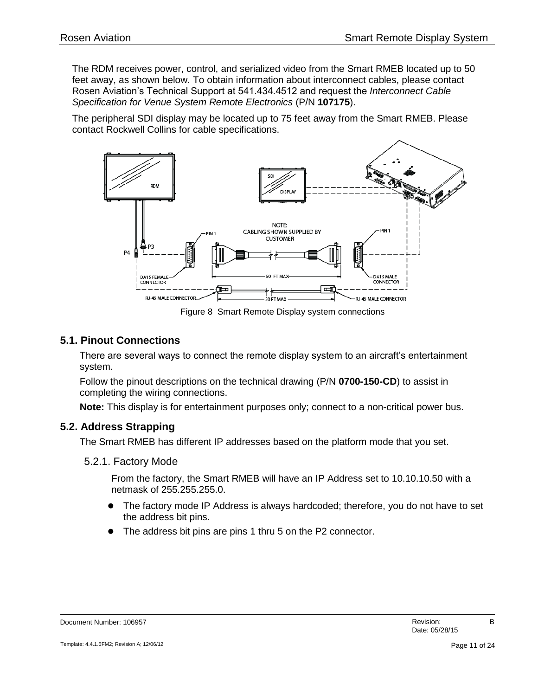The RDM receives power, control, and serialized video from the Smart RMEB located up to 50 feet away, as shown below. To obtain information about interconnect cables, please contact Rosen Aviation's Technical Support at 541.434.4512 and request the *Interconnect Cable Specification for Venue System Remote Electronics* (P/N **107175**).

The peripheral SDI display may be located up to 75 feet away from the Smart RMEB. Please contact Rockwell Collins for cable specifications.



Figure 8 Smart Remote Display system connections

#### <span id="page-10-0"></span>**5.1. Pinout Connections**

There are several ways to connect the remote display system to an aircraft's entertainment system.

Follow the pinout descriptions on the technical drawing (P/N **0700-150-CD**) to assist in completing the wiring connections.

**Note:** This display is for entertainment purposes only; connect to a non-critical power bus.

#### <span id="page-10-1"></span>**5.2. Address Strapping**

The Smart RMEB has different IP addresses based on the platform mode that you set.

<span id="page-10-2"></span>5.2.1. Factory Mode

From the factory, the Smart RMEB will have an IP Address set to 10.10.10.50 with a netmask of 255.255.255.0.

- The factory mode IP Address is always hardcoded; therefore, you do not have to set the address bit pins.
- The address bit pins are pins 1 thru 5 on the P2 connector.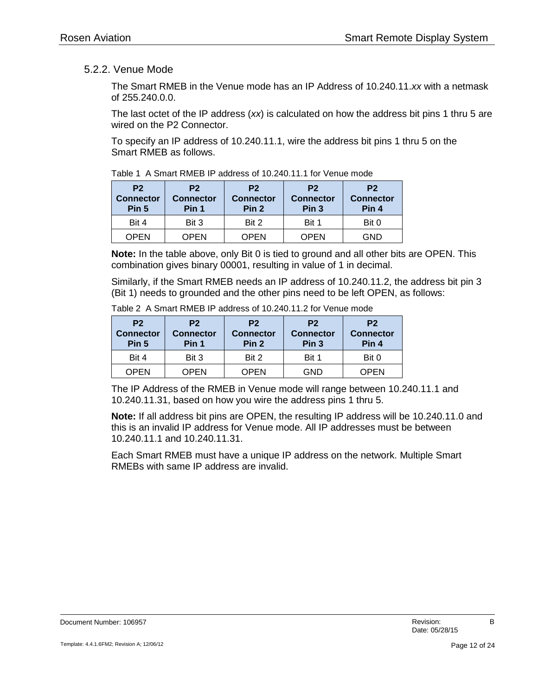#### <span id="page-11-0"></span>5.2.2. Venue Mode

The Smart RMEB in the Venue mode has an IP Address of 10.240.11.*xx* with a netmask of 255.240.0.0.

The last octet of the IP address (*xx*) is calculated on how the address bit pins 1 thru 5 are wired on the P2 Connector.

To specify an IP address of 10.240.11.1, wire the address bit pins 1 thru 5 on the Smart RMEB as follows.

|                                             | $1$ avic T $\cap$ Officit INVILD II audicas OF IV.2. TO THE FORD VEHICLITUDE |                                                        |                                                        |                                             |
|---------------------------------------------|------------------------------------------------------------------------------|--------------------------------------------------------|--------------------------------------------------------|---------------------------------------------|
| P <sub>2</sub><br><b>Connector</b><br>Pin 5 | P <sub>2</sub><br><b>Connector</b><br>Pin 1                                  | P <sub>2</sub><br><b>Connector</b><br>Pin <sub>2</sub> | P <sub>2</sub><br><b>Connector</b><br>Pin <sub>3</sub> | P <sub>2</sub><br><b>Connector</b><br>Pin 4 |
| Bit 4                                       | Bit 3                                                                        | Bit 2                                                  | Bit 1                                                  | Bit 0                                       |
| <b>OPEN</b>                                 | <b>OPEN</b>                                                                  | <b>OPEN</b>                                            | <b>OPEN</b>                                            | <b>GND</b>                                  |

Table 1 A Smart RMEB IP address of 10.240.11.1 for Venue mode

**Note:** In the table above, only Bit 0 is tied to ground and all other bits are OPEN. This combination gives binary 00001, resulting in value of 1 in decimal.

Similarly, if the Smart RMEB needs an IP address of 10.240.11.2, the address bit pin 3 (Bit 1) needs to grounded and the other pins need to be left OPEN, as follows:

| P <sub>2</sub><br><b>Connector</b><br>Pin 5 | P <sub>2</sub><br><b>Connector</b><br>Pin 1 | P <sub>2</sub><br><b>Connector</b><br>Pin <sub>2</sub> | P <sub>2</sub><br><b>Connector</b><br>Pin <sub>3</sub> | P <sub>2</sub><br><b>Connector</b><br>Pin 4 |
|---------------------------------------------|---------------------------------------------|--------------------------------------------------------|--------------------------------------------------------|---------------------------------------------|
| Bit 4                                       | Bit 3                                       | Bit 2                                                  | Bit 1                                                  | Bit 0                                       |
| <b>OPEN</b>                                 | OPEN                                        | OPEN                                                   | GND                                                    | <b>OPEN</b>                                 |

Table 2 A Smart RMEB IP address of 10.240.11.2 for Venue mode

The IP Address of the RMEB in Venue mode will range between 10.240.11.1 and 10.240.11.31, based on how you wire the address pins 1 thru 5.

**Note:** If all address bit pins are OPEN, the resulting IP address will be 10.240.11.0 and this is an invalid IP address for Venue mode. All IP addresses must be between 10.240.11.1 and 10.240.11.31.

Each Smart RMEB must have a unique IP address on the network. Multiple Smart RMEBs with same IP address are invalid.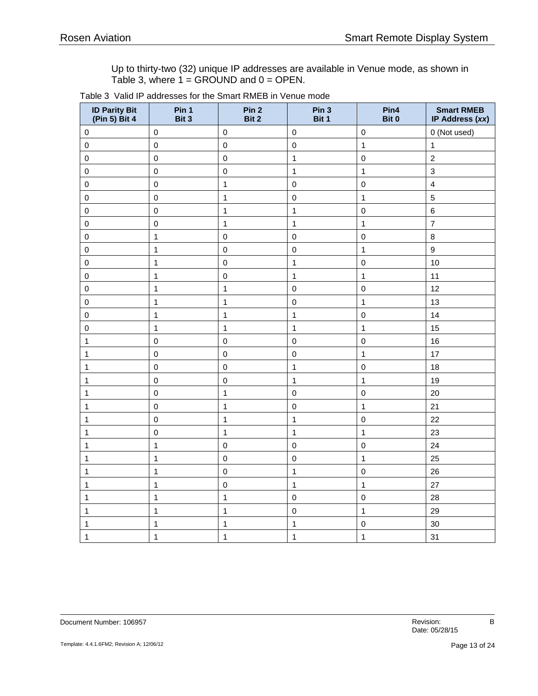Up to thirty-two (32) unique IP addresses are available in Venue mode, as shown in Table 3, where 1 = GROUND and 0 = OPEN.

| <b>ID Parity Bit</b><br>(Pin 5) Bit 4 | Pin 1<br>Bit 3 | Pin <sub>2</sub><br>Bit 2 | Pin 3<br>Bit 1 | Pin4<br>Bit 0 | <b>Smart RMEB</b><br>IP Address (xx) |
|---------------------------------------|----------------|---------------------------|----------------|---------------|--------------------------------------|
| $\pmb{0}$                             | $\pmb{0}$      | $\pmb{0}$                 | $\pmb{0}$      | $\pmb{0}$     | 0 (Not used)                         |
| $\pmb{0}$                             | $\pmb{0}$      | $\pmb{0}$                 | $\pmb{0}$      | $\mathbf{1}$  | $\mathbf{1}$                         |
| $\pmb{0}$                             | $\mathbf 0$    | $\pmb{0}$                 | $\mathbf 1$    | $\pmb{0}$     | $\boldsymbol{2}$                     |
| $\pmb{0}$                             | $\mathbf 0$    | $\pmb{0}$                 | $\mathbf{1}$   | $\mathbf{1}$  | $\mathbf{3}$                         |
| $\mathbf 0$                           | $\mathbf 0$    | $\mathbf{1}$              | $\mathbf 0$    | $\pmb{0}$     | $\overline{\mathbf{4}}$              |
| $\pmb{0}$                             | $\mathsf 0$    | $\mathbf{1}$              | $\mathsf 0$    | $\mathbf{1}$  | $\mathbf 5$                          |
| $\pmb{0}$                             | $\mathsf 0$    | $\mathbf{1}$              | $\mathbf 1$    | $\pmb{0}$     | $\,6\,$                              |
| $\pmb{0}$                             | $\pmb{0}$      | $\mathbf 1$               | $\mathbf{1}$   | $\mathbf{1}$  | $\overline{7}$                       |
| $\pmb{0}$                             | $\mathbf{1}$   | $\pmb{0}$                 | $\mathsf 0$    | $\mathsf 0$   | 8                                    |
| $\mathsf 0$                           | $\mathbf{1}$   | $\mathbf 0$               | $\pmb{0}$      | $\mathbf{1}$  | $\mathsf g$                          |
| $\mathsf 0$                           | $\mathbf{1}$   | $\mathbf 0$               | $\mathbf 1$    | $\mathbf 0$   | 10                                   |
| $\pmb{0}$                             | $\mathbf{1}$   | $\pmb{0}$                 | $\mathbf{1}$   | $\mathbf{1}$  | 11                                   |
| $\pmb{0}$                             | $\mathbf{1}$   | $\mathbf{1}$              | $\mathsf 0$    | $\pmb{0}$     | 12                                   |
| $\pmb{0}$                             | $\mathbf{1}$   | $\mathbf{1}$              | $\mathbf 0$    | $\mathbf{1}$  | 13                                   |
| $\pmb{0}$                             | $\mathbf{1}$   | $\mathbf{1}$              | $\mathbf{1}$   | $\pmb{0}$     | 14                                   |
| $\mathbf 0$                           | $\mathbf{1}$   | $\mathbf{1}$              | $\mathbf 1$    | $\mathbf{1}$  | 15                                   |
| 1                                     | $\mathsf 0$    | $\pmb{0}$                 | $\mathsf 0$    | $\pmb{0}$     | 16                                   |
| 1                                     | $\mathbf 0$    | $\pmb{0}$                 | $\mathsf 0$    | $\mathbf{1}$  | 17                                   |
| 1                                     | $\mathbf 0$    | $\pmb{0}$                 | $\mathbf{1}$   | $\mathbf 0$   | 18                                   |
| 1                                     | $\mathbf 0$    | $\mathbf 0$               | $\mathbf{1}$   | $\mathbf{1}$  | 19                                   |
| $\mathbf{1}$                          | $\pmb{0}$      | $\mathbf{1}$              | $\mathbf 0$    | $\mathbf 0$   | 20                                   |
| 1                                     | $\pmb{0}$      | $\mathbf{1}$              | $\mathsf 0$    | $\mathbf{1}$  | 21                                   |
| 1                                     | $\pmb{0}$      | $\mathbf{1}$              | $\mathbf{1}$   | $\mathbf 0$   | 22                                   |
| 1                                     | $\pmb{0}$      | $\mathbf{1}$              | $\mathbf 1$    | $\mathbf{1}$  | 23                                   |
| 1                                     | $\mathbf{1}$   | $\pmb{0}$                 | $\mathbf 0$    | $\pmb{0}$     | 24                                   |
| 1                                     | $\mathbf{1}$   | $\pmb{0}$                 | $\pmb{0}$      | $\mathbf{1}$  | 25                                   |
| 1                                     | $\mathbf{1}$   | $\pmb{0}$                 | $\mathbf{1}$   | $\pmb{0}$     | 26                                   |
| 1                                     | $\mathbf{1}$   | $\pmb{0}$                 | $\mathbf{1}$   | $\mathbf{1}$  | 27                                   |
| 1                                     | $\mathbf{1}$   | $\mathbf{1}$              | $\mathbf 0$    | $\pmb{0}$     | 28                                   |
| 1                                     | $\mathbf{1}$   | $\mathbf{1}$              | $\mathbf 0$    | $\mathbf{1}$  | 29                                   |
| 1                                     | $\mathbf{1}$   | $\mathbf{1}$              | 1              | $\mathbf 0$   | 30                                   |
| 1                                     | $\mathbf{1}$   | $\mathbf{1}$              | $\mathbf 1$    | $\mathbf{1}$  | 31                                   |

| Table 3  Valid IP addresses for the Smart RMEB in Venue mode |  |
|--------------------------------------------------------------|--|
|--------------------------------------------------------------|--|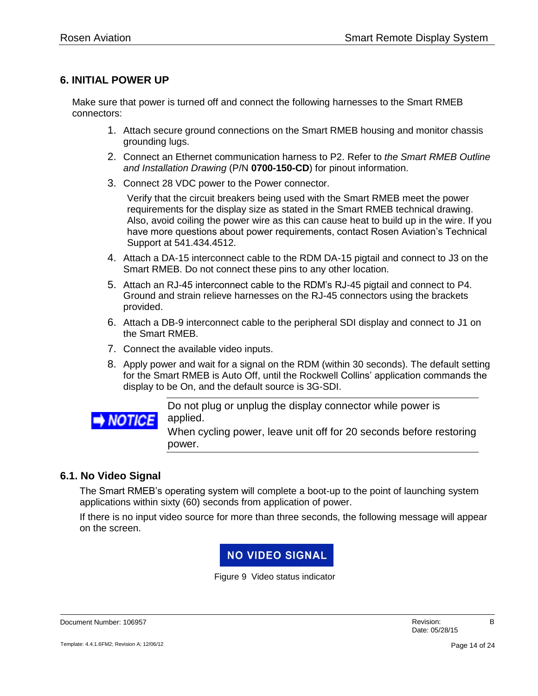#### <span id="page-13-0"></span>**6. INITIAL POWER UP**

Make sure that power is turned off and connect the following harnesses to the Smart RMEB connectors:

- 1. Attach secure ground connections on the Smart RMEB housing and monitor chassis grounding lugs.
- 2. Connect an Ethernet communication harness to P2. Refer to *the Smart RMEB Outline and Installation Drawing* (P/N **0700-150-CD**) for pinout information.
- 3. Connect 28 VDC power to the Power connector.

Verify that the circuit breakers being used with the Smart RMEB meet the power requirements for the display size as stated in the Smart RMEB technical drawing. Also, avoid coiling the power wire as this can cause heat to build up in the wire. If you have more questions about power requirements, contact Rosen Aviation's Technical Support at 541.434.4512.

- 4. Attach a DA-15 interconnect cable to the RDM DA-15 pigtail and connect to J3 on the Smart RMEB. Do not connect these pins to any other location.
- 5. Attach an RJ-45 interconnect cable to the RDM's RJ-45 pigtail and connect to P4. Ground and strain relieve harnesses on the RJ-45 connectors using the brackets provided.
- 6. Attach a DB-9 interconnect cable to the peripheral SDI display and connect to J1 on the Smart RMEB.
- 7. Connect the available video inputs.
- 8. Apply power and wait for a signal on the RDM (within 30 seconds). The default setting for the Smart RMEB is Auto Off, until the Rockwell Collins' application commands the display to be On, and the default source is 3G-SDI.



Do not plug or unplug the display connector while power is applied.

When cycling power, leave unit off for 20 seconds before restoring power.

#### <span id="page-13-1"></span>**6.1. No Video Signal**

The Smart RMEB's operating system will complete a boot-up to the point of launching system applications within sixty (60) seconds from application of power.

If there is no input video source for more than three seconds, the following message will appear on the screen.

#### **NO VIDEO SIGNAL**

Figure 9 Video status indicator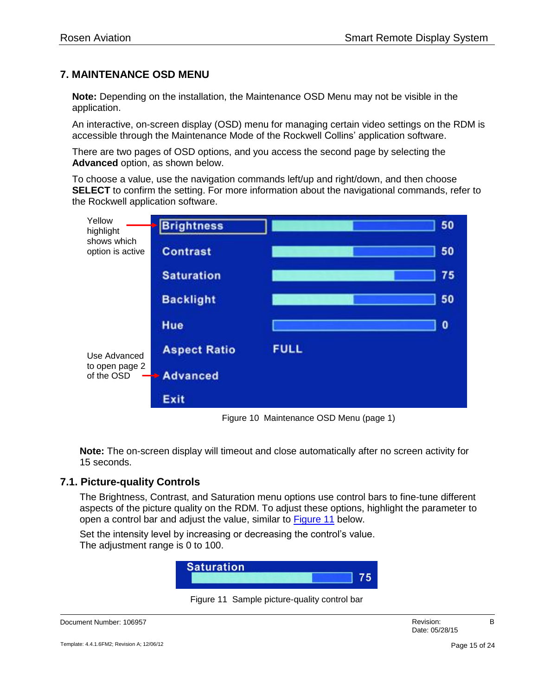#### <span id="page-14-0"></span>**7. MAINTENANCE OSD MENU**

**Note:** Depending on the installation, the Maintenance OSD Menu may not be visible in the application.

An interactive, on-screen display (OSD) menu for managing certain video settings on the RDM is accessible through the Maintenance Mode of the Rockwell Collins' application software.

There are two pages of OSD options, and you access the second page by selecting the **Advanced** option, as shown below.

To choose a value, use the navigation commands left/up and right/down, and then choose **SELECT** to confirm the setting. For more information about the navigational commands, refer to the Rockwell application software.



Figure 10 Maintenance OSD Menu (page 1)

**Note:** The on-screen display will timeout and close automatically after no screen activity for 15 seconds.

#### <span id="page-14-1"></span>**7.1. Picture-quality Controls**

The Brightness, Contrast, and Saturation menu options use control bars to fine-tune different aspects of the picture quality on the RDM. To adjust these options, highlight the parameter to open a control bar and adjust the value, similar to [Figure 11](#page-14-2) below.

Set the intensity level by increasing or decreasing the control's value. The adjustment range is 0 to 100.



Figure 11 Sample picture-quality control bar

<span id="page-14-2"></span>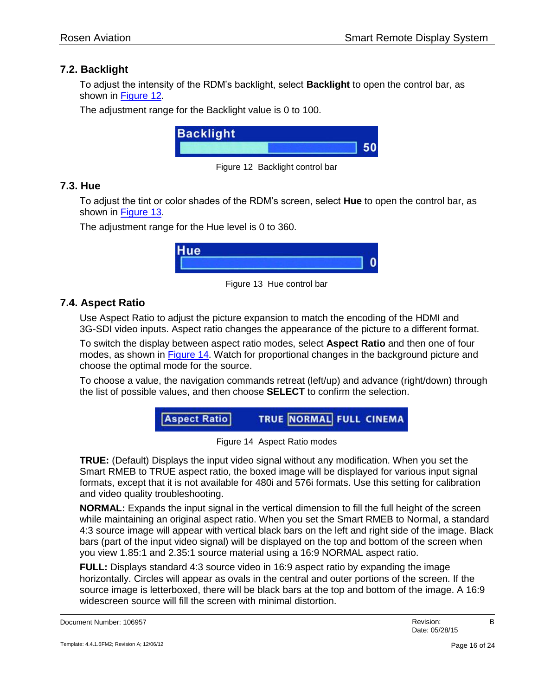#### <span id="page-15-0"></span>**7.2. Backlight**

To adjust the intensity of the RDM's backlight, select **Backlight** to open the control bar, as shown in [Figure 12.](#page-15-3)

The adjustment range for the Backlight value is 0 to 100.



Figure 12 Backlight control bar

#### <span id="page-15-3"></span><span id="page-15-1"></span>**7.3. Hue**

To adjust the tint or color shades of the RDM's screen, select **Hue** to open the control bar, as shown in [Figure 13.](#page-15-4)

The adjustment range for the Hue level is 0 to 360.



Figure 13 Hue control bar

#### <span id="page-15-4"></span><span id="page-15-2"></span>**7.4. Aspect Ratio**

Use Aspect Ratio to adjust the picture expansion to match the encoding of the HDMI and 3G-SDI video inputs. Aspect ratio changes the appearance of the picture to a different format.

To switch the display between aspect ratio modes, select **Aspect Ratio** and then one of four modes, as shown in [Figure 14.](#page-15-5) Watch for proportional changes in the background picture and choose the optimal mode for the source.

To choose a value, the navigation commands retreat (left/up) and advance (right/down) through the list of possible values, and then choose **SELECT** to confirm the selection.



Figure 14 Aspect Ratio modes

<span id="page-15-5"></span>**TRUE:** (Default) Displays the input video signal without any modification. When you set the Smart RMEB to TRUE aspect ratio, the boxed image will be displayed for various input signal formats, except that it is not available for 480i and 576i formats. Use this setting for calibration and video quality troubleshooting.

**NORMAL:** Expands the input signal in the vertical dimension to fill the full height of the screen while maintaining an original aspect ratio. When you set the Smart RMEB to Normal, a standard 4:3 source image will appear with vertical black bars on the left and right side of the image. Black bars (part of the input video signal) will be displayed on the top and bottom of the screen when you view 1.85:1 and 2.35:1 source material using a 16:9 NORMAL aspect ratio.

**FULL:** Displays standard 4:3 source video in 16:9 aspect ratio by expanding the image horizontally. Circles will appear as ovals in the central and outer portions of the screen. If the source image is letterboxed, there will be black bars at the top and bottom of the image. A 16:9 widescreen source will fill the screen with minimal distortion.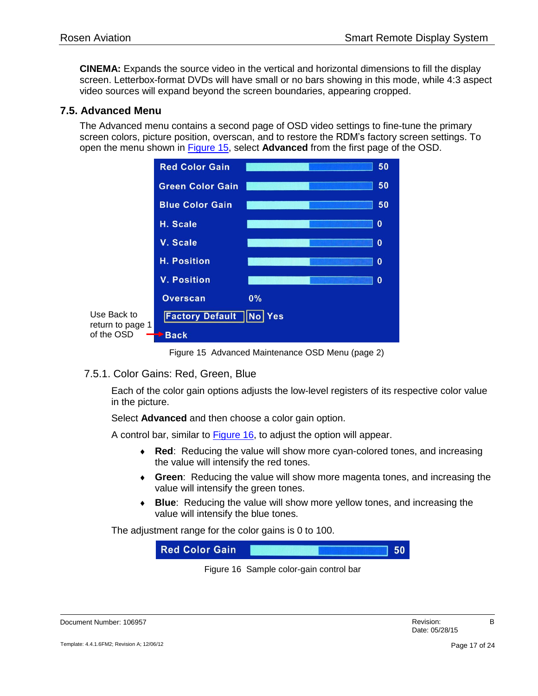**CINEMA:** Expands the source video in the vertical and horizontal dimensions to fill the display screen. Letterbox-format DVDs will have small or no bars showing in this mode, while 4:3 aspect video sources will expand beyond the screen boundaries, appearing cropped.

#### <span id="page-16-0"></span>**7.5. Advanced Menu**

The Advanced menu contains a second page of OSD video settings to fine-tune the primary screen colors, picture position, overscan, and to restore the RDM's factory screen settings. To open the menu shown in [Figure 15,](#page-16-2) select **Advanced** from the first page of the OSD.



Figure 15 Advanced Maintenance OSD Menu (page 2)

<span id="page-16-2"></span><span id="page-16-1"></span>7.5.1. Color Gains: Red, Green, Blue

Each of the color gain options adjusts the low-level registers of its respective color value in the picture.

Select **Advanced** and then choose a color gain option.

A control bar, similar to [Figure 16,](#page-16-3) to adjust the option will appear.

- **Red**: Reducing the value will show more cyan-colored tones, and increasing the value will intensify the red tones.
- **Green**: Reducing the value will show more magenta tones, and increasing the value will intensify the green tones.
- **Blue**: Reducing the value will show more yellow tones, and increasing the value will intensify the blue tones.

The adjustment range for the color gains is 0 to 100.



Figure 16 Sample color-gain control bar

<span id="page-16-3"></span>

| Document Number: 106957 | Revision. |  |
|-------------------------|-----------|--|
|                         |           |  |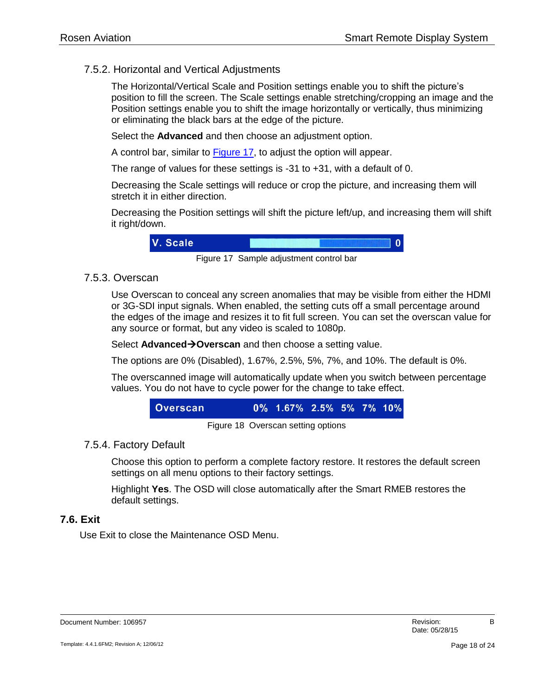#### <span id="page-17-0"></span>7.5.2. Horizontal and Vertical Adjustments

The Horizontal/Vertical Scale and Position settings enable you to shift the picture's position to fill the screen. The Scale settings enable stretching/cropping an image and the Position settings enable you to shift the image horizontally or vertically, thus minimizing or eliminating the black bars at the edge of the picture.

Select the **Advanced** and then choose an adjustment option.

A control bar, similar to [Figure 17,](#page-17-4) to adjust the option will appear.

The range of values for these settings is -31 to +31, with a default of 0.

Decreasing the Scale settings will reduce or crop the picture, and increasing them will stretch it in either direction.

Decreasing the Position settings will shift the picture left/up, and increasing them will shift it right/down.



Figure 17 Sample adjustment control bar

#### <span id="page-17-4"></span><span id="page-17-1"></span>7.5.3. Overscan

Use Overscan to conceal any screen anomalies that may be visible from either the HDMI or 3G-SDI input signals. When enabled, the setting cuts off a small percentage around the edges of the image and resizes it to fit full screen. You can set the overscan value for any source or format, but any video is scaled to 1080p.

Select **AdvancedOverscan** and then choose a setting value.

The options are 0% (Disabled), 1.67%, 2.5%, 5%, 7%, and 10%. The default is 0%.

The overscanned image will automatically update when you switch between percentage values. You do not have to cycle power for the change to take effect.

Figure 18 Overscan setting options

#### <span id="page-17-2"></span>7.5.4. Factory Default

Choose this option to perform a complete factory restore. It restores the default screen settings on all menu options to their factory settings.

Highlight **Yes**. The OSD will close automatically after the Smart RMEB restores the default settings.

#### <span id="page-17-3"></span>**7.6. Exit**

Use Exit to close the Maintenance OSD Menu.

| Document Number: 106957 | Revision:<br>_____ |  |
|-------------------------|--------------------|--|
|                         |                    |  |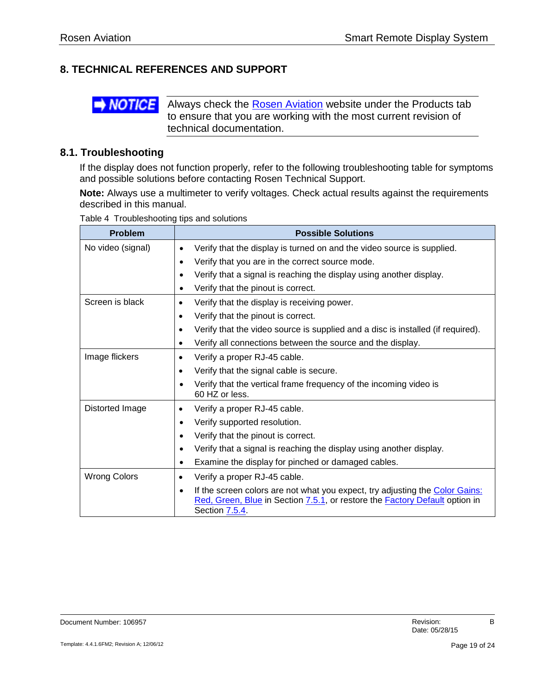#### <span id="page-18-0"></span>**8. TECHNICAL REFERENCES AND SUPPORT**



Always check the [Rosen Aviation](http://www.rosenaviation.com/) website under the Products tab to ensure that you are working with the most current revision of technical documentation.

#### <span id="page-18-1"></span>**8.1. Troubleshooting**

If the display does not function properly, refer to the following troubleshooting table for symptoms and possible solutions before contacting Rosen Technical Support.

**Note:** Always use a multimeter to verify voltages. Check actual results against the requirements described in this manual.

| Table 4 Troubleshooting tips and solutions |  |
|--------------------------------------------|--|
|                                            |  |

| <b>Problem</b>      | <b>Possible Solutions</b>                                                                                                                                                                        |
|---------------------|--------------------------------------------------------------------------------------------------------------------------------------------------------------------------------------------------|
| No video (signal)   | Verify that the display is turned on and the video source is supplied.<br>$\bullet$                                                                                                              |
|                     | Verify that you are in the correct source mode.<br>$\bullet$                                                                                                                                     |
|                     | Verify that a signal is reaching the display using another display.<br>$\bullet$                                                                                                                 |
|                     | Verify that the pinout is correct.<br>٠                                                                                                                                                          |
| Screen is black     | Verify that the display is receiving power.<br>$\bullet$                                                                                                                                         |
|                     | Verify that the pinout is correct.<br>$\bullet$                                                                                                                                                  |
|                     | Verify that the video source is supplied and a disc is installed (if required).<br>٠                                                                                                             |
|                     | Verify all connections between the source and the display.<br>$\bullet$                                                                                                                          |
| Image flickers      | Verify a proper RJ-45 cable.<br>٠                                                                                                                                                                |
|                     | Verify that the signal cable is secure.<br>$\bullet$                                                                                                                                             |
|                     | Verify that the vertical frame frequency of the incoming video is<br>$\bullet$<br>60 HZ or less.                                                                                                 |
| Distorted Image     | Verify a proper RJ-45 cable.<br>$\bullet$                                                                                                                                                        |
|                     | Verify supported resolution.<br>$\bullet$                                                                                                                                                        |
|                     | Verify that the pinout is correct.<br>$\bullet$                                                                                                                                                  |
|                     | Verify that a signal is reaching the display using another display.<br>$\bullet$                                                                                                                 |
|                     | Examine the display for pinched or damaged cables.<br>٠                                                                                                                                          |
| <b>Wrong Colors</b> | Verify a proper RJ-45 cable.<br>$\bullet$                                                                                                                                                        |
|                     | If the screen colors are not what you expect, try adjusting the Color Gains:<br>$\bullet$<br>Red, Green, Blue in Section 7.5.1, or restore the <b>Factory Default</b> option in<br>Section 7.5.4 |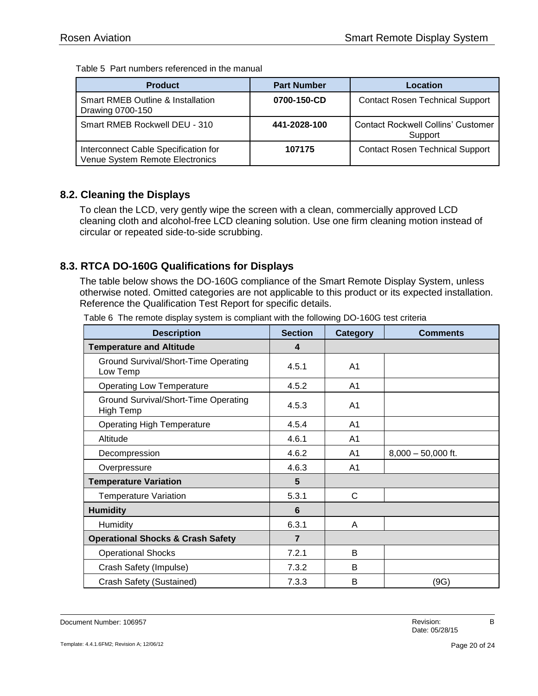Table 5 Part numbers referenced in the manual

| <b>Product</b>                                                          | <b>Part Number</b> | Location                                             |
|-------------------------------------------------------------------------|--------------------|------------------------------------------------------|
| <b>Smart RMEB Outline &amp; Installation</b><br>Drawing 0700-150        | 0700-150-CD        | <b>Contact Rosen Technical Support</b>               |
| Smart RMEB Rockwell DEU - 310                                           | 441-2028-100       | <b>Contact Rockwell Collins' Customer</b><br>Support |
| Interconnect Cable Specification for<br>Venue System Remote Electronics | 107175             | <b>Contact Rosen Technical Support</b>               |

#### <span id="page-19-0"></span>**8.2. Cleaning the Displays**

To clean the LCD, very gently wipe the screen with a clean, commercially approved LCD cleaning cloth and alcohol-free LCD cleaning solution. Use one firm cleaning motion instead of circular or repeated side-to-side scrubbing.

#### <span id="page-19-1"></span>**8.3. RTCA DO-160G Qualifications for Displays**

The table below shows the DO-160G compliance of the Smart Remote Display System, unless otherwise noted. Omitted categories are not applicable to this product or its expected installation. Reference the Qualification Test Report for specific details.

| <b>Description</b>                                      | <b>Section</b>   | <b>Category</b> | <b>Comments</b>      |
|---------------------------------------------------------|------------------|-----------------|----------------------|
| <b>Temperature and Altitude</b>                         | $\boldsymbol{4}$ |                 |                      |
| <b>Ground Survival/Short-Time Operating</b><br>Low Temp | 4.5.1            | A <sub>1</sub>  |                      |
| <b>Operating Low Temperature</b>                        | 4.5.2            | A <sub>1</sub>  |                      |
| Ground Survival/Short-Time Operating<br>High Temp       | 4.5.3            | A <sub>1</sub>  |                      |
| <b>Operating High Temperature</b>                       | 4.5.4            | A1              |                      |
| Altitude                                                | 4.6.1            | A <sub>1</sub>  |                      |
| Decompression                                           | 4.6.2            | A <sub>1</sub>  | $8,000 - 50,000$ ft. |
| Overpressure                                            | 4.6.3            | A <sub>1</sub>  |                      |
| <b>Temperature Variation</b>                            | $5\phantom{1}$   |                 |                      |
| <b>Temperature Variation</b>                            | 5.3.1            | C               |                      |
| <b>Humidity</b>                                         | $6\phantom{1}$   |                 |                      |
| Humidity                                                | 6.3.1            | A               |                      |
| <b>Operational Shocks &amp; Crash Safety</b>            | $\overline{7}$   |                 |                      |
| <b>Operational Shocks</b>                               | 7.2.1            | B               |                      |
| Crash Safety (Impulse)                                  | 7.3.2            | B               |                      |
| Crash Safety (Sustained)                                | 7.3.3            | B               | (9G)                 |

Table 6 The remote display system is compliant with the following DO-160G test criteria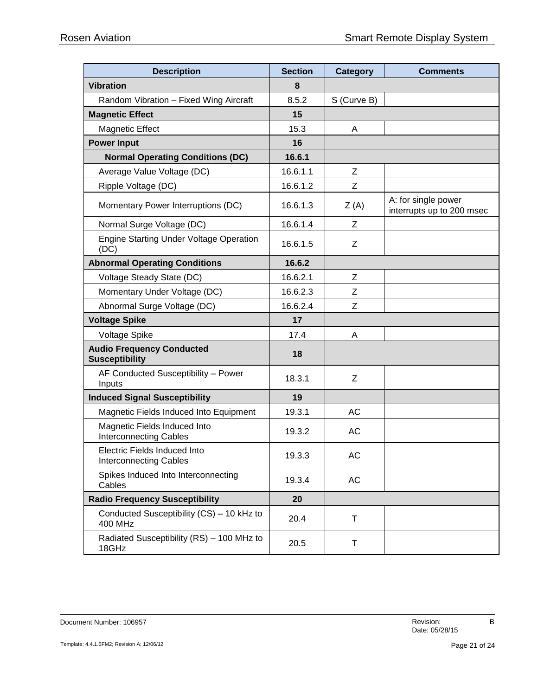| <b>Description</b>                                                   | <b>Section</b> | Category    | <b>Comments</b>                                  |  |  |
|----------------------------------------------------------------------|----------------|-------------|--------------------------------------------------|--|--|
| <b>Vibration</b>                                                     | 8              |             |                                                  |  |  |
| Random Vibration - Fixed Wing Aircraft                               | 8.5.2          | S (Curve B) |                                                  |  |  |
| <b>Magnetic Effect</b>                                               | 15             |             |                                                  |  |  |
| <b>Magnetic Effect</b>                                               | 15.3           | A           |                                                  |  |  |
| <b>Power Input</b>                                                   | 16             |             |                                                  |  |  |
| <b>Normal Operating Conditions (DC)</b>                              | 16.6.1         |             |                                                  |  |  |
| Average Value Voltage (DC)                                           | 16.6.1.1       | Z           |                                                  |  |  |
| Ripple Voltage (DC)                                                  | 16.6.1.2       | Z           |                                                  |  |  |
| Momentary Power Interruptions (DC)                                   | 16.6.1.3       | Z(A)        | A: for single power<br>interrupts up to 200 msec |  |  |
| Normal Surge Voltage (DC)                                            | 16.6.1.4       | Ζ           |                                                  |  |  |
| <b>Engine Starting Under Voltage Operation</b><br>(DC)               | 16.6.1.5       | Z           |                                                  |  |  |
| <b>Abnormal Operating Conditions</b>                                 | 16.6.2         |             |                                                  |  |  |
| Voltage Steady State (DC)                                            | 16.6.2.1       | Z           |                                                  |  |  |
| Momentary Under Voltage (DC)                                         | 16.6.2.3       | Z           |                                                  |  |  |
| Abnormal Surge Voltage (DC)                                          | 16.6.2.4       | Z           |                                                  |  |  |
| <b>Voltage Spike</b>                                                 | 17             |             |                                                  |  |  |
| Voltage Spike                                                        | 17.4           | A           |                                                  |  |  |
| <b>Audio Frequency Conducted</b><br><b>Susceptibility</b>            | 18             |             |                                                  |  |  |
| AF Conducted Susceptibility - Power<br>Inputs                        | 18.3.1         | Z           |                                                  |  |  |
| <b>Induced Signal Susceptibility</b>                                 | 19             |             |                                                  |  |  |
| Magnetic Fields Induced Into Equipment                               | 19.3.1         | AC          |                                                  |  |  |
| Magnetic Fields Induced Into<br><b>Interconnecting Cables</b>        | 19.3.2         | AC          |                                                  |  |  |
| <b>Electric Fields Induced Into</b><br><b>Interconnecting Cables</b> | 19.3.3         | AC          |                                                  |  |  |
| Spikes Induced Into Interconnecting<br>Cables                        | 19.3.4         | AC          |                                                  |  |  |
| <b>Radio Frequency Susceptibility</b>                                | 20             |             |                                                  |  |  |
| Conducted Susceptibility (CS) - 10 kHz to<br><b>400 MHz</b>          | 20.4           | Τ           |                                                  |  |  |
| Radiated Susceptibility (RS) - 100 MHz to<br>18GHz                   | 20.5           | т           |                                                  |  |  |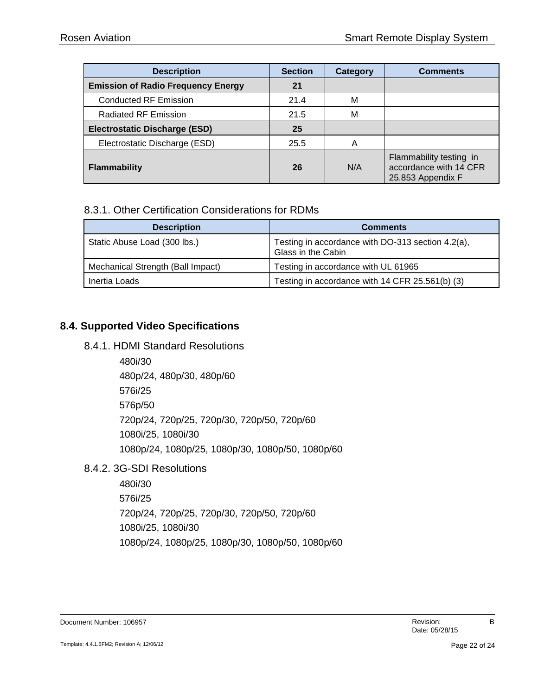| <b>Description</b>                        | <b>Section</b> | Category | <b>Comments</b>                                                        |  |
|-------------------------------------------|----------------|----------|------------------------------------------------------------------------|--|
| <b>Emission of Radio Frequency Energy</b> | 21             |          |                                                                        |  |
| <b>Conducted RF Emission</b>              | 21.4           | М        |                                                                        |  |
| <b>Radiated RF Emission</b>               | 21.5           | М        |                                                                        |  |
| <b>Electrostatic Discharge (ESD)</b>      | 25             |          |                                                                        |  |
| Electrostatic Discharge (ESD)             | 25.5           | Α        |                                                                        |  |
| <b>Flammability</b>                       | 26<br>N/A      |          | Flammability testing in<br>accordance with 14 CFR<br>25.853 Appendix F |  |

#### <span id="page-21-0"></span>8.3.1. Other Certification Considerations for RDMs

| <b>Description</b>                | <b>Comments</b>                                                         |  |  |
|-----------------------------------|-------------------------------------------------------------------------|--|--|
| Static Abuse Load (300 lbs.)      | Testing in accordance with DO-313 section 4.2(a),<br>Glass in the Cabin |  |  |
| Mechanical Strength (Ball Impact) | Testing in accordance with UL 61965                                     |  |  |
| Inertia Loads                     | Testing in accordance with 14 CFR 25.561(b) (3)                         |  |  |

#### <span id="page-21-2"></span><span id="page-21-1"></span>**8.4. Supported Video Specifications**

#### 8.4.1. HDMI Standard Resolutions

480i/30 480p/24, 480p/30, 480p/60 576i/25 576p/50 720p/24, 720p/25, 720p/30, 720p/50, 720p/60 1080i/25, 1080i/30 1080p/24, 1080p/25, 1080p/30, 1080p/50, 1080p/60

#### <span id="page-21-3"></span>8.4.2. 3G-SDI Resolutions

480i/30 576i/25 720p/24, 720p/25, 720p/30, 720p/50, 720p/60 1080i/25, 1080i/30 1080p/24, 1080p/25, 1080p/30, 1080p/50, 1080p/60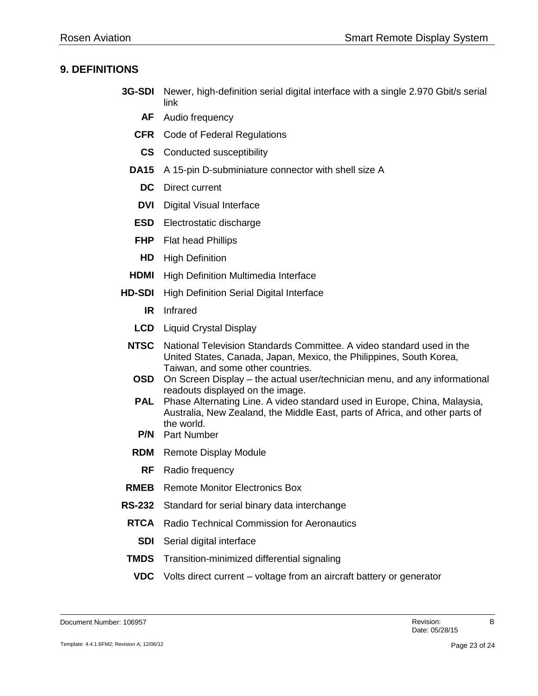#### <span id="page-22-0"></span>**9. DEFINITIONS**

- **3G-SDI** Newer, high-definition serial digital interface with a single 2.970 Gbit/s serial link
	- **AF** Audio frequency
	- **CFR** Code of Federal Regulations
	- **CS** Conducted susceptibility
	- **DA15** A 15-pin D-subminiature connector with shell size A
		- **DC** Direct current
		- **DVI** Digital Visual Interface
	- **ESD** Electrostatic discharge
	- **FHP** Flat head Phillips
	- **HD** High Definition
	- **HDMI** High Definition Multimedia Interface
- **HD-SDI** High Definition Serial Digital Interface
	- **IR** Infrared
	- **LCD** Liquid Crystal Display
	- **NTSC** National Television Standards Committee. A video standard used in the United States, Canada, Japan, Mexico, the Philippines, South Korea, Taiwan, and some other countries.
	- **OSD** On Screen Display the actual user/technician menu, and any informational readouts displayed on the image.
	- **PAL** Phase Alternating Line. A video standard used in Europe, China, Malaysia, Australia, New Zealand, the Middle East, parts of Africa, and other parts of the world.
	- **P/N** Part Number
	- **RDM** Remote Display Module
		- **RF** Radio frequency
- **RMEB** Remote Monitor Electronics Box
- **RS-232** Standard for serial binary data interchange
	- **RTCA** Radio Technical Commission for Aeronautics
		- **SDI** Serial digital interface
- **TMDS** Transition-minimized differential signaling
	- **VDC** Volts direct current voltage from an aircraft battery or generator